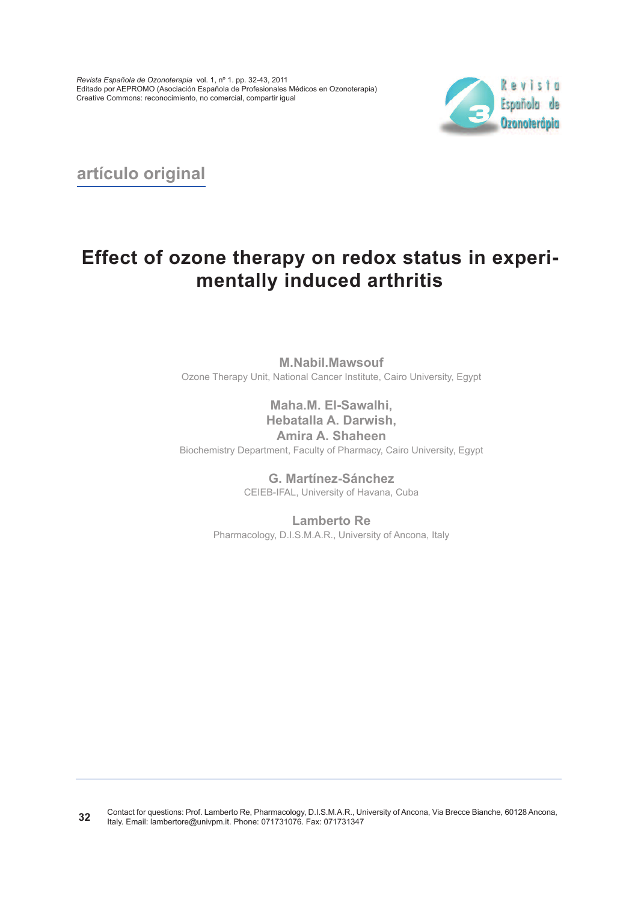

**artículo original**

# **Effect of ozone therapy on redox status in experimentally induced arthritis**

**M.Nabil.Mawsouf** Ozone Therapy Unit, National Cancer Institute, Cairo University, Egypt

**Maha.M. El-Sawalhi, Hebatalla A. Darwish, Amira A. Shaheen** Biochemistry Department, Faculty of Pharmacy, Cairo University, Egypt

> **G. Martínez-Sánchez** CEIEB-IFAL, University of Havana, Cuba

**Lamberto Re** Pharmacology, D.I.S.M.A.R., University of Ancona, Italy

Contact for questions: Prof. Lamberto Re, Pharmacology, D.I.S.M.A.R., University of Ancona, Via Brecce Bianche, 60128 Ancona, Italy. Email: lambertore@univpm.it. Phone: 071731076. Fax: 071731347 **32**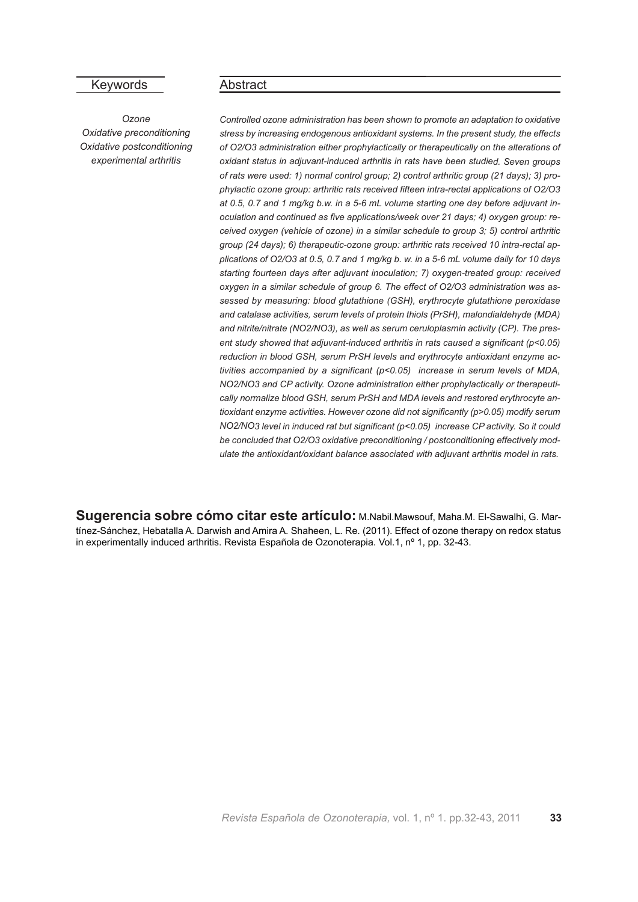## Keywords

*Ozone Oxidative preconditioning Oxidative postconditioning experimental arthritis*

#### Abstract

*Controlled ozone administration has been shown to promote an adaptation to oxidative stress by increasing endogenous antioxidant systems. In the present study, the effects of O2/O3 administration either prophylactically or therapeutically on the alterations of oxidant status in adjuvant-induced arthritis in rats have been studied. Seven groups of rats were used: 1) normal control group; 2) control arthritic group (21 days); 3) prophylactic ozone group: arthritic rats received fifteen intra-rectal applications of O2/O3 at 0.5, 0.7 and 1 mg/kg b.w. in <sup>a</sup> 5-6 mL volume starting one day before adjuvant inoculation and continued as five applications/week over 21 days; 4) oxygen group: received oxygen (vehicle of ozone) in <sup>a</sup> similar schedule to group 3; 5) control arthritic group (24 days); 6) therapeutic-ozone group: arthritic rats received 10 intra-rectal ap*plications of O2/O3 at 0.5, 0.7 and 1 mg/kg b. w. in a 5-6 mL volume daily for 10 days *starting fourteen days after adjuvant inoculation; 7) oxygen-treated group: received oxygen in <sup>a</sup> similar schedule of group 6. The effect of O2/O3 administration was assessed by measuring: blood glutathione (GSH), erythrocyte glutathione peroxidase and catalase activities, serum levels of protein thiols (PrSH), malondialdehyde (MDA) and nitrite/nitrate (NO2/NO3), as well as serum ceruloplasmin activity (CP). The present study showed that adjuvant-induced arthritis in rats caused <sup>a</sup> significant (p<0.05) reduction in blood GSH, serum PrSH levels and erythrocyte antioxidant enzyme activities accompanied by <sup>a</sup> significant (p<0.05) increase in serum levels of MDA, NO2/NO3 and CP activity. Ozone administration either prophylactically or therapeutically normalize blood GSH, serum PrSH and MDA levels and restored erythrocyte antioxidant enzyme activities. However ozone did not significantly (p>0.05) modify serum NO2/NO3 level in induced rat but significant (p<0.05) increase CP activity. So it could be concluded that O2/O3 oxidative preconditioning / postconditioning effectively modulate the antioxidant/oxidant balance associated with adjuvant arthritis model in rats.*

**Sugerencia sobre cómo citar este artículo:** M.Nabil.Mawsouf, Maha.M. El-Sawalhi, G. Martínez-Sánchez, Hebatalla A. Darwish and Amira A. Shaheen, L. Re. (2011). Effect of ozone therapy on redox status in experimentally induced arthritis. Revista Española de Ozonoterapia. Vol.1, nº 1, pp. 32-43.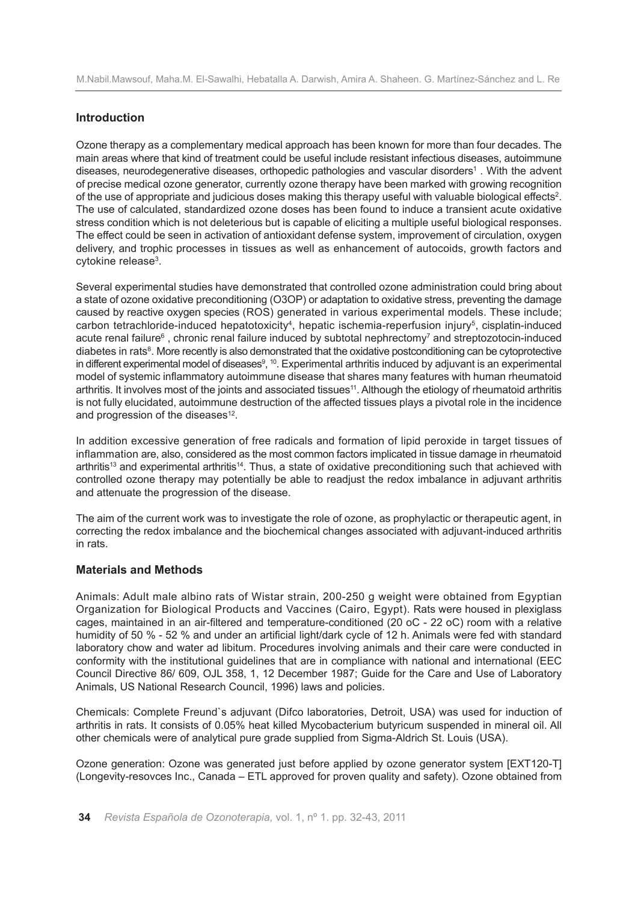# **Introduction**

Ozone therapy as a complementary medical approach has been known for more than four decades. The main areas where that kind of treatment could be useful include resistant infectious diseases, autoimmune diseases, neurodegenerative diseases, orthopedic pathologies and vascular disorders1 . With the advent of precise medical ozone generator, currently ozone therapy have been marked with growing recognition of the use of appropriate and judicious doses making this therapy useful with valuable biological effects2. The use of calculated, standardized ozone doses has been found to induce a transient acute oxidative stress condition which is not deleterious but is capable of eliciting a multiple useful biological responses. The effect could be seen in activation of antioxidant defense system, improvement of circulation, oxygen delivery, and trophic processes in tissues as well as enhancement of autocoids, growth factors and cytokine release3.

Several experimental studies have demonstrated that controlled ozone administration could bring about a state of ozone oxidative preconditioning (O3OP) or adaptation to oxidative stress, preventing the damage caused by reactive oxygen species (ROS) generated in various experimental models. These include; carbon tetrachloride-induced hepatotoxicity<sup>4</sup>, hepatic ischemia-reperfusion injury<sup>5</sup>, cisplatin-induced acute renal failure<sup>6</sup>, chronic renal failure induced by subtotal nephrectomy<sup>7</sup> and streptozotocin-induced diabetes in rats<sup>8</sup>. More recently is also demonstrated that the oxidative postconditioning can be cytoprotective in different experimental model of diseases<sup>9</sup>, <sup>10</sup>. Experimental arthritis induced by adjuvant is an experimental model of systemic inflammatory autoimmune disease that shares many features with human rheumatoid arthritis. It involves most of the joints and associated tissues<sup>11</sup>. Although the etiology of rheumatoid arthritis is not fully elucidated, autoimmune destruction of the affected tissues plays a pivotal role in the incidence and progression of the diseases<sup>12</sup>.

In addition excessive generation of free radicals and formation of lipid peroxide in target tissues of inflammation are, also, considered as the most common factors implicated in tissue damage in rheumatoid arthritis<sup>13</sup> and experimental arthritis<sup>14</sup>. Thus, a state of oxidative preconditioning such that achieved with controlled ozone therapy may potentially be able to readjust the redox imbalance in adjuvant arthritis and attenuate the progression of the disease.

The aim of the current work was to investigate the role of ozone, as prophylactic or therapeutic agent, in correcting the redox imbalance and the biochemical changes associated with adjuvant-induced arthritis in rats.

## **Materials and Methods**

Animals: Adult male albino rats of Wistar strain, 200-250 g weight were obtained from Egyptian Organization for Biological Products and Vaccines (Cairo, Egypt). Rats were housed in plexiglass cages, maintained in an air-filtered and temperature-conditioned (20 oC - 22 oC) room with a relative humidity of 50 % - 52 % and under an artificial light/dark cycle of 12 h. Animals were fed with standard laboratory chow and water ad libitum. Procedures involving animals and their care were conducted in conformity with the institutional guidelines that are in compliance with national and international (EEC Council Directive 86/ 609, OJL 358, 1, 12 December 1987; Guide for the Care and Use of Laboratory Animals, US National Research Council, 1996) laws and policies.

Chemicals: Complete Freund`s adjuvant (Difco laboratories, Detroit, USA) was used for induction of arthritis in rats. It consists of 0.05% heat killed Mycobacterium butyricum suspended in mineral oil. All other chemicals were of analytical pure grade supplied from Sigma-Aldrich St. Louis (USA).

Ozone generation: Ozone was generated just before applied by ozone generator system [EXT120-T] (Longevity-resovces Inc., Canada – ETL approved for proven quality and safety). Ozone obtained from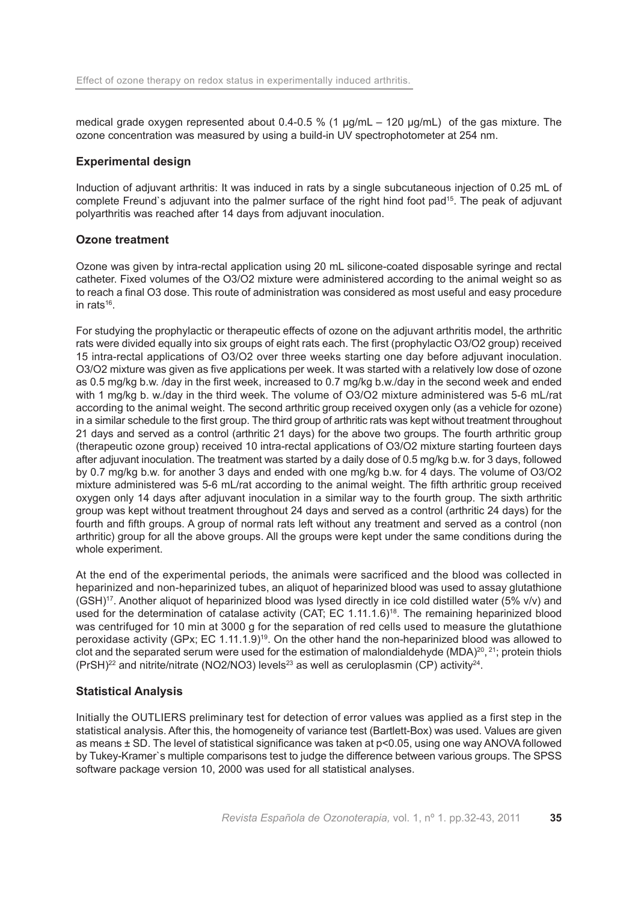medical grade oxygen represented about 0.4-0.5 % (1  $\mu$ g/mL – 120  $\mu$ g/mL) of the gas mixture. The ozone concentration was measured by using a build-in UV spectrophotometer at 254 nm.

#### **Experimental design**

Induction of adjuvant arthritis: It was induced in rats by a single subcutaneous injection of 0.25 mL of complete Freund`s adjuvant into the palmer surface of the right hind foot pad15. The peak of adjuvant polyarthritis was reached after 14 days from adjuvant inoculation.

#### **Ozone treatment**

Ozone was given by intra-rectal application using 20 mL silicone-coated disposable syringe and rectal catheter. Fixed volumes of the O3/O2 mixture were administered according to the animal weight so as to reach a final O3 dose. This route of administration was considered as most useful and easy procedure in rats $16$ .

For studying the prophylactic or therapeutic effects of ozone on the adjuvant arthritis model, the arthritic rats were divided equally into six groups of eight rats each. The first (prophylactic O3/O2 group) received 15 intra-rectal applications of O3/O2 over three weeks starting one day before adjuvant inoculation. O3/O2 mixture was given as five applications per week. It was started with a relatively low dose of ozone as 0.5 mg/kg b.w. /day in the first week, increased to 0.7 mg/kg b.w./day in the second week and ended with 1 mg/kg b. w./day in the third week. The volume of O3/O2 mixture administered was 5-6 mL/rat according to the animal weight. The second arthritic group received oxygen only (as a vehicle for ozone) in a similar schedule to the first group. The third group of arthritic rats was kept without treatment throughout 21 days and served as a control (arthritic 21 days) for the above two groups. The fourth arthritic group (therapeutic ozone group) received 10 intra-rectal applications of O3/O2 mixture starting fourteen days after adjuvant inoculation. The treatment was started by a daily dose of 0.5 mg/kg b.w. for 3 days, followed by 0.7 mg/kg b.w. for another 3 days and ended with one mg/kg b.w. for 4 days. The volume of O3/O2 mixture administered was 5-6 mL/rat according to the animal weight. The fifth arthritic group received oxygen only 14 days after adjuvant inoculation in a similar way to the fourth group. The sixth arthritic group was kept without treatment throughout 24 days and served as a control (arthritic 24 days) for the fourth and fifth groups. A group of normal rats left without any treatment and served as a control (non arthritic) group for all the above groups. All the groups were kept under the same conditions during the whole experiment.

At the end of the experimental periods, the animals were sacrificed and the blood was collected in heparinized and non-heparinized tubes, an aliquot of heparinized blood was used to assay glutathione  $(GSH)<sup>17</sup>$ . Another aliquot of heparinized blood was lysed directly in ice cold distilled water (5% v/v) and used for the determination of catalase activity (CAT; EC 1.11.1.6)<sup>18</sup>. The remaining heparinized blood was centrifuged for 10 min at 3000 g for the separation of red cells used to measure the glutathione peroxidase activity (GPx; EC 1.11.1.9)19. On the other hand the non-heparinized blood was allowed to clot and the separated serum were used for the estimation of malondialdehyde (MDA) $^{20}$ ,  $^{21}$ ; protein thiols  $(PrSH)^{22}$  and nitrite/nitrate (NO2/NO3) levels<sup>23</sup> as well as ceruloplasmin (CP) activity<sup>24</sup>.

## **Statistical Analysis**

Initially the OUTLIERS preliminary test for detection of error values was applied as a first step in the statistical analysis. After this, the homogeneity of variance test (Bartlett-Box) was used. Values are given as means ± SD. The level of statistical significance was taken at p<0.05, using one way ANOVA followed by Tukey-Kramer`s multiple comparisons test to judge the difference between various groups. The SPSS software package version 10, 2000 was used for all statistical analyses.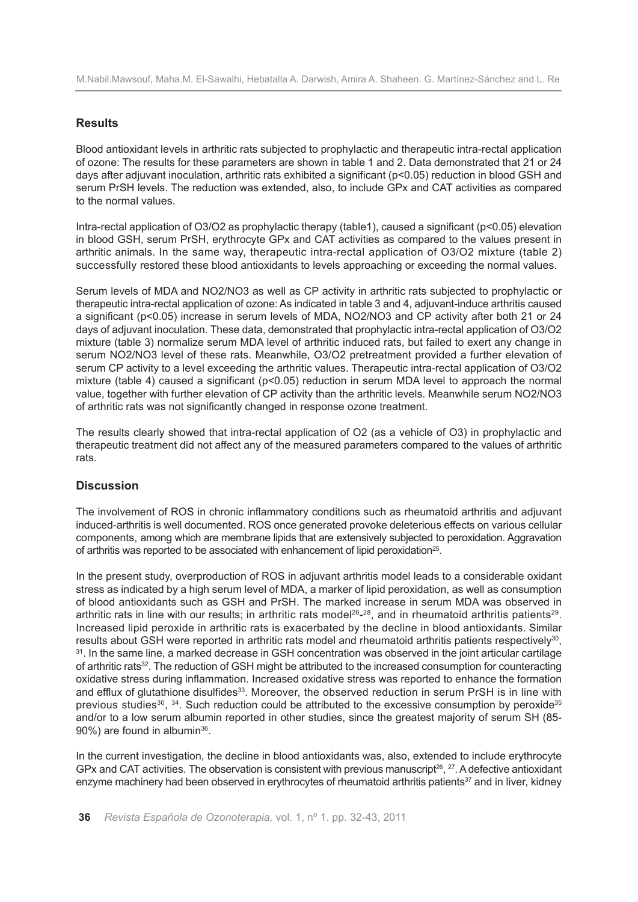# **Results**

Blood antioxidant levels in arthritic rats subjected to prophylactic and therapeutic intra-rectal application of ozone: The results for these parameters are shown in table 1 and 2. Data demonstrated that 21 or 24 days after adjuvant inoculation, arthritic rats exhibited a significant (p<0.05) reduction in blood GSH and serum PrSH levels. The reduction was extended, also, to include GPx and CAT activities as compared to the normal values.

Intra-rectal application of O3/O2 as prophylactic therapy (table1), caused a significant (p<0.05) elevation in blood GSH, serum PrSH, erythrocyte GPx and CAT activities as compared to the values present in arthritic animals. In the same way, therapeutic intra-rectal application of O3/O2 mixture (table 2) successfully restored these blood antioxidants to levels approaching or exceeding the normal values.

Serum levels of MDA and NO2/NO3 as well as CP activity in arthritic rats subjected to prophylactic or therapeutic intra-rectal application of ozone: As indicated in table 3 and 4, adjuvant-induce arthritis caused a significant (p<0.05) increase in serum levels of MDA, NO2/NO3 and CP activity after both 21 or 24 days of adjuvant inoculation. These data, demonstrated that prophylactic intra-rectal application of O3/O2 mixture (table 3) normalize serum MDA level of arthritic induced rats, but failed to exert any change in serum NO2/NO3 level of these rats. Meanwhile, O3/O2 pretreatment provided a further elevation of serum CP activity to a level exceeding the arthritic values. Therapeutic intra-rectal application of O3/O2 mixture (table 4) caused a significant (p<0.05) reduction in serum MDA level to approach the normal value, together with further elevation of CP activity than the arthritic levels. Meanwhile serum NO2/NO3 of arthritic rats was not significantly changed in response ozone treatment.

The results clearly showed that intra-rectal application of O2 (as a vehicle of O3) in prophylactic and therapeutic treatment did not affect any of the measured parameters compared to the values of arthritic rats.

# **Discussion**

The involvement of ROS in chronic inflammatory conditions such as rheumatoid arthritis and adjuvant induced-arthritis is well documented. ROS once generated provoke deleterious effects on various cellular components, among which are membrane lipids that are extensively subjected to peroxidation. Aggravation of arthritis was reported to be associated with enhancement of lipid peroxidation<sup>25</sup>.

In the present study, overproduction of ROS in adjuvant arthritis model leads to a considerable oxidant stress as indicated by a high serum level of MDA, a marker of lipid peroxidation, as well as consumption of blood antioxidants such as GSH and PrSH. The marked increase in serum MDA was observed in arthritic rats in line with our results; in arthritic rats model<sup>26</sup>-<sup>28</sup>, and in rheumatoid arthritis patients<sup>29</sup>. Increased lipid peroxide in arthritic rats is exacerbated by the decline in blood antioxidants. Similar results about GSH were reported in arthritic rats model and rheumatoid arthritis patients respectively<sup>30</sup>. <sup>31</sup>. In the same line, a marked decrease in GSH concentration was observed in the joint articular cartilage of arthritic rats<sup>32</sup>. The reduction of GSH might be attributed to the increased consumption for counteracting oxidative stress during inflammation. Increased oxidative stress was reported to enhance the formation and efflux of glutathione disulfides<sup>33</sup>. Moreover, the observed reduction in serum PrSH is in line with previous studies $30, 34$ . Such reduction could be attributed to the excessive consumption by peroxide $35$ and/or to a low serum albumin reported in other studies, since the greatest majority of serum SH (85- 90%) are found in albumin<sup>36</sup>.

In the current investigation, the decline in blood antioxidants was, also, extended to include erythrocyte GPx and CAT activities. The observation is consistent with previous manuscript<sup>26</sup>, <sup>27</sup>. A defective antioxidant enzyme machinery had been observed in erythrocytes of rheumatoid arthritis patients<sup>37</sup> and in liver, kidney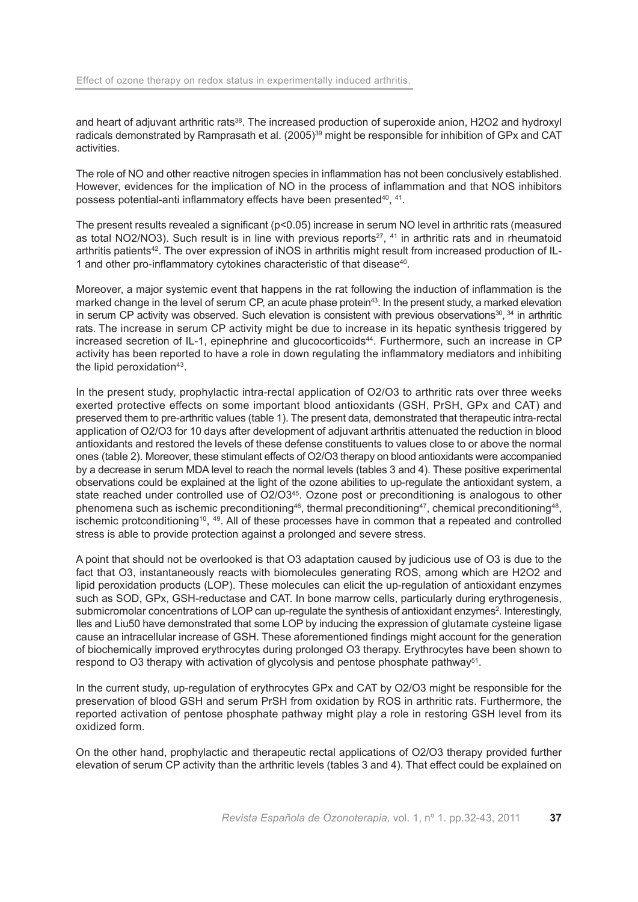and heart of adjuvant arthritic rats<sup>38</sup>. The increased production of superoxide anion, H2O2 and hydroxyl radicals demonstrated by Ramprasath et al. (2005)<sup>39</sup> might be responsible for inhibition of GPx and CAT activities.

The role of NO and other reactive nitrogen species in inflammation has not been conclusively established. However, evidences for the implication of NO in the process of inflammation and that NOS inhibitors possess potential-anti inflammatory effects have been presented40, 41.

The present results revealed a significant (p<0.05) increase in serum NO level in arthritic rats (measured as total NO2/NO3). Such result is in line with previous reports<sup>27</sup>,  $41$  in arthritic rats and in rheumatoid arthritis patients42. The over expression of iNOS in arthritis might result from increased production of IL-1 and other pro-inflammatory cytokines characteristic of that disease<sup>40</sup>.

Moreover, a major systemic event that happens in the rat following the induction of inflammation is the marked change in the level of serum CP, an acute phase protein<sup>43</sup>. In the present study, a marked elevation in serum CP activity was observed. Such elevation is consistent with previous observations<sup>30</sup>,  $34$  in arthritic rats. The increase in serum CP activity might be due to increase in its hepatic synthesis triggered by increased secretion of IL-1, epinephrine and glucocorticoids<sup>44</sup>. Furthermore, such an increase in CP activity has been reported to have a role in down regulating the inflammatory mediators and inhibiting the lipid peroxidation $43$ .

In the present study, prophylactic intra-rectal application of O2/O3 to arthritic rats over three weeks exerted protective effects on some important blood antioxidants (GSH, PrSH, GPx and CAT) and preserved them to pre-arthritic values (table 1). The present data, demonstrated that therapeutic intra-rectal application of O2/O3 for 10 days after development of adjuvant arthritis attenuated the reduction in blood antioxidants and restored the levels of these defense constituents to values close to or above the normal ones (table 2). Moreover, these stimulant effects of O2/O3 therapy on blood antioxidants were accompanied by a decrease in serum MDA level to reach the normal levels (tables 3 and 4). These positive experimental observations could be explained at the light of the ozone abilities to up-regulate the antioxidant system, a state reached under controlled use of O2/O3<sup>45</sup>. Ozone post or preconditioning is analogous to other phenomena such as ischemic preconditioning<sup>46</sup>, thermal preconditioning<sup>47</sup>, chemical preconditioning<sup>48</sup>. ischemic protconditioning10, 49. All of these processes have in common that a repeated and controlled stress is able to provide protection against a prolonged and severe stress.

A point that should not be overlooked is that O3 adaptation caused by judicious use of O3 is due to the fact that O3, instantaneously reacts with biomolecules generating ROS, among which are H2O2 and lipid peroxidation products (LOP). These molecules can elicit the up-regulation of antioxidant enzymes such as SOD, GPx, GSH-reductase and CAT. In bone marrow cells, particularly during erythrogenesis, submicromolar concentrations of LOP can up-regulate the synthesis of antioxidant enzymes<sup>2</sup>. Interestingly, Iles and Liu50 have demonstrated that some LOP by inducing the expression of glutamate cysteine ligase cause an intracellular increase of GSH. These aforementioned findings might account for the generation of biochemically improved erythrocytes during prolonged O3 therapy. Erythrocytes have been shown to respond to O3 therapy with activation of glycolysis and pentose phosphate pathway<sup>51</sup>.

In the current study, up-regulation of erythrocytes GPx and CAT by O2/O3 might be responsible for the preservation of blood GSH and serum PrSH from oxidation by ROS in arthritic rats. Furthermore, the reported activation of pentose phosphate pathway might play a role in restoring GSH level from its oxidized form.

On the other hand, prophylactic and therapeutic rectal applications of O2/O3 therapy provided further elevation of serum CP activity than the arthritic levels (tables 3 and 4). That effect could be explained on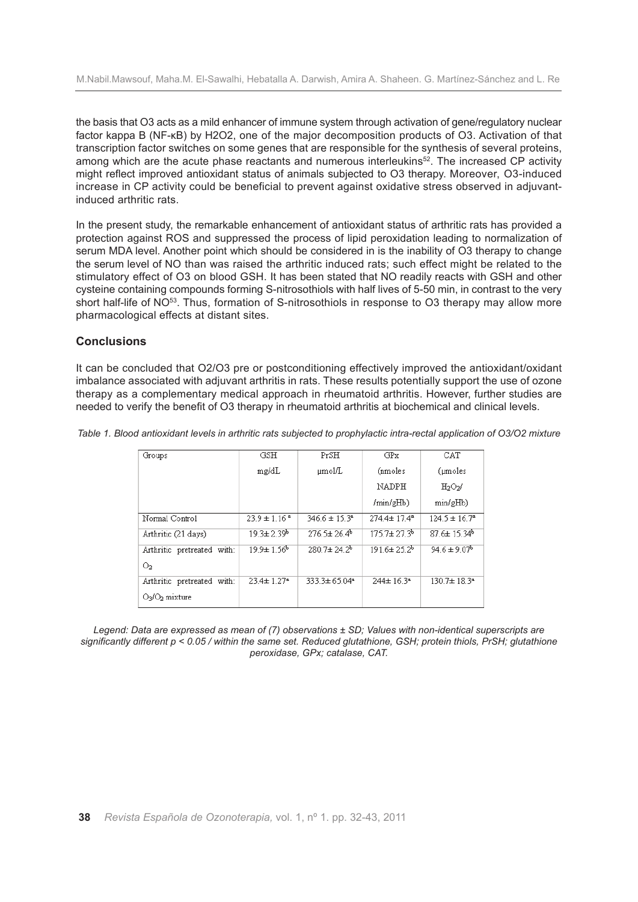the basis that O3 acts as a mild enhancer of immune system through activation of gene/regulatory nuclear factor kappa B (NF-κB) by H2O2, one of the major decomposition products of O3. Activation of that transcription factor switches on some genes that are responsible for the synthesis of several proteins, among which are the acute phase reactants and numerous interleukins<sup>52</sup>. The increased CP activity might reflect improved antioxidant status of animals subjected to O3 therapy. Moreover, O3-induced increase in CP activity could be beneficial to prevent against oxidative stress observed in adjuvantinduced arthritic rats.

In the present study, the remarkable enhancement of antioxidant status of arthritic rats has provided a protection against ROS and suppressed the process of lipid peroxidation leading to normalization of serum MDA level. Another point which should be considered in is the inability of O3 therapy to change the serum level of NO than was raised the arthritic induced rats; such effect might be related to the stimulatory effect of O3 on blood GSH. It has been stated that NO readily reacts with GSH and other cysteine containing compounds forming S-nitrosothiols with half lives of 5-50 min, in contrast to the very short half-life of NO<sup>53</sup>. Thus, formation of S-nitrosothiols in response to O3 therapy may allow more pharmacological effects at distant sites.

#### **Conclusions**

It can be concluded that O2/O3 pre or postconditioning effectively improved the antioxidant/oxidant imbalance associated with adjuvant arthritis in rats. These results potentially support the use of ozone therapy as a complementary medical approach in rheumatoid arthritis. However, further studies are needed to verify the benefit of O3 therapy in rheumatoid arthritis at biochemical and clinical levels.

| Groups                     | GSH                          | PrSH                     | GP <sub>x</sub>             | CAT                          |  |
|----------------------------|------------------------------|--------------------------|-----------------------------|------------------------------|--|
|                            | mg/dL                        | $\mu$ mol/L              | (nmoles                     | (moles)                      |  |
|                            |                              |                          | NADPH                       | $H_2O_2/$                    |  |
|                            |                              |                          | $/min/$ g $Hb)$             | min/gHb)                     |  |
| Normal Control             | $23.9 \pm 1.16$ <sup>a</sup> | $3466 \pm 153^a$         | $2744 \pm 174$ <sup>2</sup> | $124.5 \pm 16.7^a$           |  |
| Arthritic (21 days)        | $19.3 \pm 2.39$ <sup>b</sup> | $2765 \pm 264$           | $1757 \pm 273$              | $876 \pm 1534$               |  |
| Arthritic pretreated with: | $19.9 \pm 1.56$ <sup>b</sup> | $280.7 \pm 24.2^b$       | $191.6 \pm 25.2^b$          | $94.6 \pm 9.07$ <sup>b</sup> |  |
| O <sub>2</sub>             |                              |                          |                             |                              |  |
| Arthritic pretreated with: | $23.4 \pm 1.27$ <sup>a</sup> | 333.3±65.04 <sup>a</sup> | 244± 16.3ª                  | 130.7±18.3ª                  |  |
| $O3/O2$ mixture            |                              |                          |                             |                              |  |

Table 1. Blood antioxidant levels in arthritic rats subjected to prophylactic intra-rectal application of O3/O2 mixture

*Legend: Data are expressed as mean of (7) observations ± SD; Values with non-identical superscripts are* significantly different p < 0.05 / within the same set. Reduced glutathione, GSH; protein thiols, PrSH; glutathione *peroxidase, GPx; catalase, CAT.*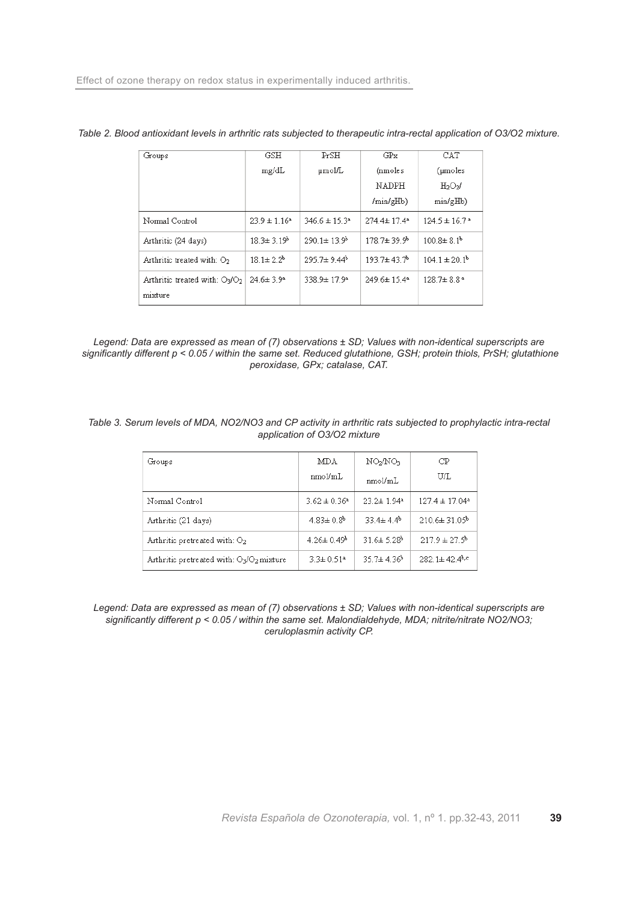| Groups                                       | GSH                        | PrSH                          | GPx                         | CAT                           |  |
|----------------------------------------------|----------------------------|-------------------------------|-----------------------------|-------------------------------|--|
|                                              | mg/dL                      | µmol/L                        | (nmoles                     | $(\mu$ moles                  |  |
|                                              |                            |                               | NADPH                       | $H_2O_2/$                     |  |
|                                              |                            |                               | /min/gHb)                   | min/gHb)                      |  |
| Normal Control                               | $239 \pm 116$ <sup>a</sup> | $3466 \pm 153$ <sup>a</sup>   | 274 4± 17 4ª                | $124.5 \pm 16.7$ <sup>a</sup> |  |
| Arthritic (24 days)                          | $18.3 \pm 3.19^{\circ}$    | $290.1 \pm 13.9$ <sup>b</sup> | $178.7 + 39.9$ <sup>b</sup> | $100.8 \pm 8.1$ <sup>b</sup>  |  |
| Arthritic treated with: O <sub>2</sub>       | $181\pm 22^b$              | $2957 \pm 944$                | 193.7±43.7                  | $104.1 \pm 20.1$ <sup>b</sup> |  |
| Arthritic treated with: $O_2/O_2$<br>mixture | $24.6 \pm 3.9^a$           | 338.9±17.9ª                   | 249.6±15.4ª                 | $128.7 \pm 8.84$              |  |

| Table 2. Blood antioxidant levels in arthritic rats subjected to therapeutic intra-rectal application of O3/O2 mixture. |  |
|-------------------------------------------------------------------------------------------------------------------------|--|
|-------------------------------------------------------------------------------------------------------------------------|--|

*Legend: Data are expressed as mean of (7) observations ± SD; Values with non-identical superscripts are* significantly different p < 0.05 / within the same set. Reduced glutathione, GSH; protein thiols, PrSH; glutathione *peroxidase, GPx; catalase, CAT.*

|  |  |  |  |                              |  | Table 3. Serum levels of MDA, NO2/NO3 and CP activity in arthritic rats subjected to prophylactic intra-rectal |  |
|--|--|--|--|------------------------------|--|----------------------------------------------------------------------------------------------------------------|--|
|  |  |  |  | application of O3/O2 mixture |  |                                                                                                                |  |

| Groups                                       | MDA<br>nmol/mL               | NO2NO3<br>nmol/mL            | CP<br>U/L                       |
|----------------------------------------------|------------------------------|------------------------------|---------------------------------|
| Normal Control                               | $3.62 \pm 0.36$ <sup>a</sup> | $23.2 \pm 1.94$ <sup>a</sup> | $127.4 \pm 17.04$ <sup>a</sup>  |
| Arthritic (21 days)                          | $4.83 \pm 0.8$ <sup>b</sup>  | $334 \pm 44$                 | $210.6 \pm 31.05^{\circ}$       |
| Arthritic pretreated with: O <sub>2</sub>    | $4.26 \pm 0.49$ <sup>b</sup> | $316 \pm 528$                | $2179 \pm 275$                  |
| Arthritic pretreated with: $O_3/O_2$ mixture | $3.3 \pm 0.51$ <sup>a</sup>  | $35.7 \pm 4.36$ <sup>b</sup> | $282.1 \pm 42.4$ <sup>b,c</sup> |

*Legend: Data are expressed as mean of (7) observations ± SD; Values with non-identical superscripts are significantly different p < 0.05 / within the same set. Malondialdehyde, MDA; nitrite/nitrate NO2/NO3; ceruloplasmin activity CP.*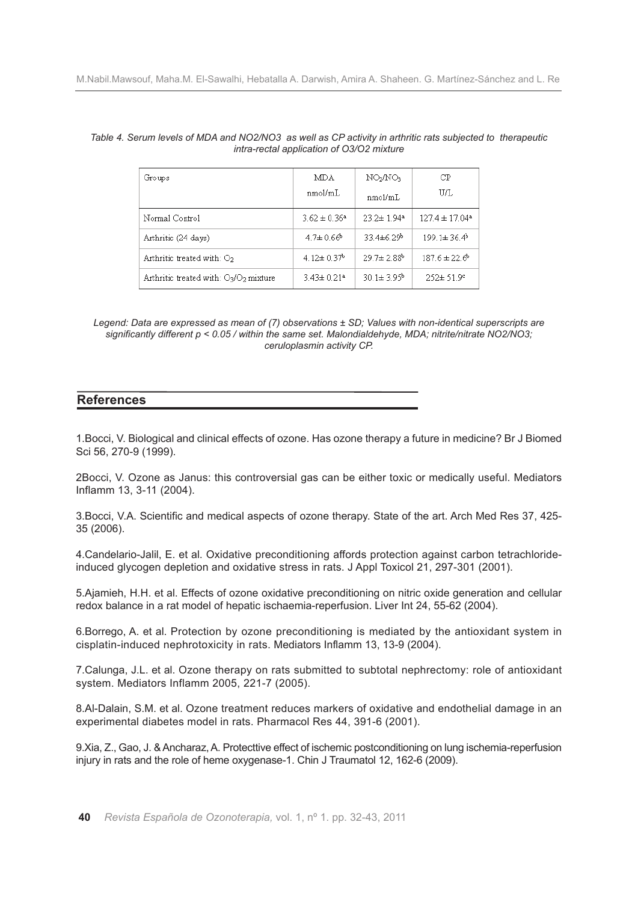| Groups                                    | MDA                          | NO2NO3                       | СP                             |  |
|-------------------------------------------|------------------------------|------------------------------|--------------------------------|--|
|                                           | nmol/mL                      | nmol/mL                      | U/L                            |  |
| Normal Control                            | $3.62 \pm 0.36^a$            | $23.2 \pm 1.94$ <sup>a</sup> | $127.4 \pm 17.04$ <sup>a</sup> |  |
| Arthritic (24 days)                       | $4.7 \pm 0.66$ <sup>b</sup>  | $33.4\pm6.29$ <sup>b</sup>   | $199.1 \pm 36.4$ <sup>b</sup>  |  |
| Arthritic treated with: $O2$              | $4.12 \pm 0.37$ <sup>b</sup> | $29.7 \pm 2.88$ <sup>b</sup> | $187.6 \pm 22.6^{\circ}$       |  |
| Arthritic treated with: $O_3/O_2$ mixture | $3.43 \pm 0.21$ <sup>a</sup> | $30.1 \pm 3.95$ <sup>b</sup> | $252 \pm 51.9$ °               |  |

#### Table 4. Serum levels of MDA and NO2/NO3 as well as CP activity in arthritic rats subjected to therapeutic *intra-rectal application of O3/O2 mixture*

# **References**

1.Bocci, V. Biological and clinical effects of ozone. Has ozone therapy a future in medicine? Br J Biomed Sci 56, 270-9 (1999).

2Bocci, V. Ozone as Janus: this controversial gas can be either toxic or medically useful. Mediators Inflamm 13, 3-11 (2004).

3.Bocci, V.A. Scientific and medical aspects of ozone therapy. State of the art. Arch Med Res 37, 425- 35 (2006).

4.Candelario-Jalil, E. et al. Oxidative preconditioning affords protection against carbon tetrachlorideinduced glycogen depletion and oxidative stress in rats. J Appl Toxicol 21, 297-301 (2001).

5.Ajamieh, H.H. et al. Effects of ozone oxidative preconditioning on nitric oxide generation and cellular redox balance in a rat model of hepatic ischaemia-reperfusion. Liver Int 24, 55-62 (2004).

6.Borrego, A. et al. Protection by ozone preconditioning is mediated by the antioxidant system in cisplatin-induced nephrotoxicity in rats. Mediators Inflamm 13, 13-9 (2004).

7.Calunga, J.L. et al. Ozone therapy on rats submitted to subtotal nephrectomy: role of antioxidant system. Mediators Inflamm 2005, 221-7 (2005).

8.Al-Dalain, S.M. et al. Ozone treatment reduces markers of oxidative and endothelial damage in an experimental diabetes model in rats. Pharmacol Res 44, 391-6 (2001).

9.Xia, Z., Gao, J. &Ancharaz,A. Protecttive effect of ischemic postconditioning on lung ischemia-reperfusion injury in rats and the role of heme oxygenase-1. Chin J Traumatol 12, 162-6 (2009).

*Legend: Data are expressed as mean of (7) observations ± SD; Values with non-identical superscripts are significantly different p < 0.05 / within the same set. Malondialdehyde, MDA; nitrite/nitrate NO2/NO3; ceruloplasmin activity CP.*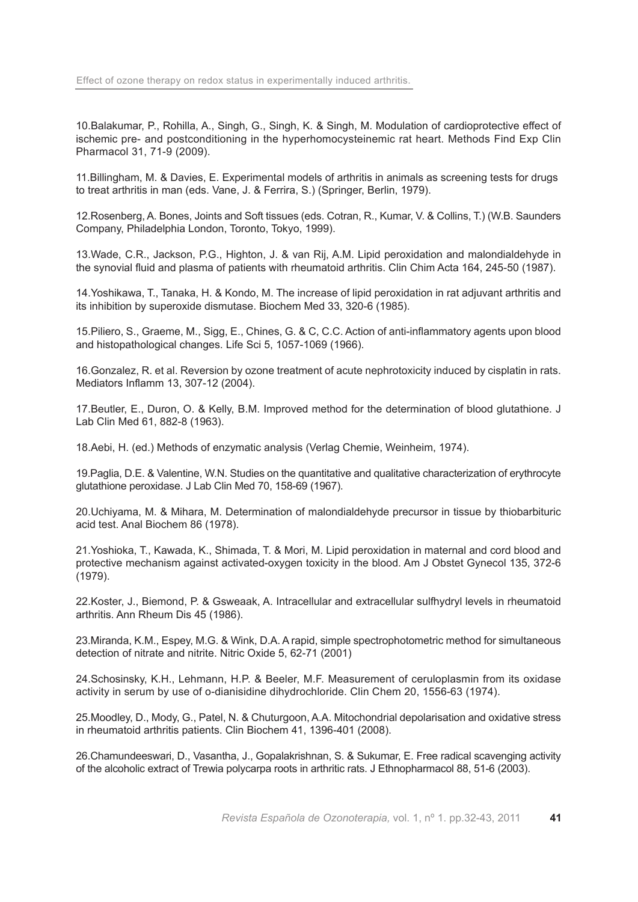10.Balakumar, P., Rohilla, A., Singh, G., Singh, K. & Singh, M. Modulation of cardioprotective effect of ischemic pre- and postconditioning in the hyperhomocysteinemic rat heart. Methods Find Exp Clin Pharmacol 31, 71-9 (2009).

11.Billingham, M. & Davies, E. Experimental models of arthritis in animals as screening tests for drugs to treat arthritis in man (eds. Vane, J. & Ferrira, S.) (Springer, Berlin, 1979).

12.Rosenberg, A. Bones, Joints and Soft tissues (eds. Cotran, R., Kumar, V. & Collins, T.) (W.B. Saunders Company, Philadelphia London, Toronto, Tokyo, 1999).

13.Wade, C.R., Jackson, P.G., Highton, J. & van Rij, A.M. Lipid peroxidation and malondialdehyde in the synovial fluid and plasma of patients with rheumatoid arthritis. Clin Chim Acta 164, 245-50 (1987).

14.Yoshikawa, T., Tanaka, H. & Kondo, M. The increase of lipid peroxidation in rat adjuvant arthritis and its inhibition by superoxide dismutase. Biochem Med 33, 320-6 (1985).

15.Piliero, S., Graeme, M., Sigg, E., Chines, G. & C, C.C. Action of anti-inflammatory agents upon blood and histopathological changes. Life Sci 5, 1057-1069 (1966).

16.Gonzalez, R. et al. Reversion by ozone treatment of acute nephrotoxicity induced by cisplatin in rats. Mediators Inflamm 13, 307-12 (2004).

17.Beutler, E., Duron, O. & Kelly, B.M. Improved method for the determination of blood glutathione. J Lab Clin Med 61, 882-8 (1963).

18.Aebi, H. (ed.) Methods of enzymatic analysis (Verlag Chemie, Weinheim, 1974).

19.Paglia, D.E. & Valentine, W.N. Studies on the quantitative and qualitative characterization of erythrocyte glutathione peroxidase. J Lab Clin Med 70, 158-69 (1967).

20.Uchiyama, M. & Mihara, M. Determination of malondialdehyde precursor in tissue by thiobarbituric acid test. Anal Biochem 86 (1978).

21.Yoshioka, T., Kawada, K., Shimada, T. & Mori, M. Lipid peroxidation in maternal and cord blood and protective mechanism against activated-oxygen toxicity in the blood. Am J Obstet Gynecol 135, 372-6 (1979).

22.Koster, J., Biemond, P. & Gsweaak, A. Intracellular and extracellular sulfhydryl levels in rheumatoid arthritis. Ann Rheum Dis 45 (1986).

23.Miranda, K.M., Espey, M.G. & Wink, D.A. A rapid, simple spectrophotometric method for simultaneous detection of nitrate and nitrite. Nitric Oxide 5, 62-71 (2001)

24.Schosinsky, K.H., Lehmann, H.P. & Beeler, M.F. Measurement of ceruloplasmin from its oxidase activity in serum by use of o-dianisidine dihydrochloride. Clin Chem 20, 1556-63 (1974).

25.Moodley, D., Mody, G., Patel, N. & Chuturgoon, A.A. Mitochondrial depolarisation and oxidative stress in rheumatoid arthritis patients. Clin Biochem 41, 1396-401 (2008).

26.Chamundeeswari, D., Vasantha, J., Gopalakrishnan, S. & Sukumar, E. Free radical scavenging activity of the alcoholic extract of Trewia polycarpa roots in arthritic rats. J Ethnopharmacol 88, 51-6 (2003).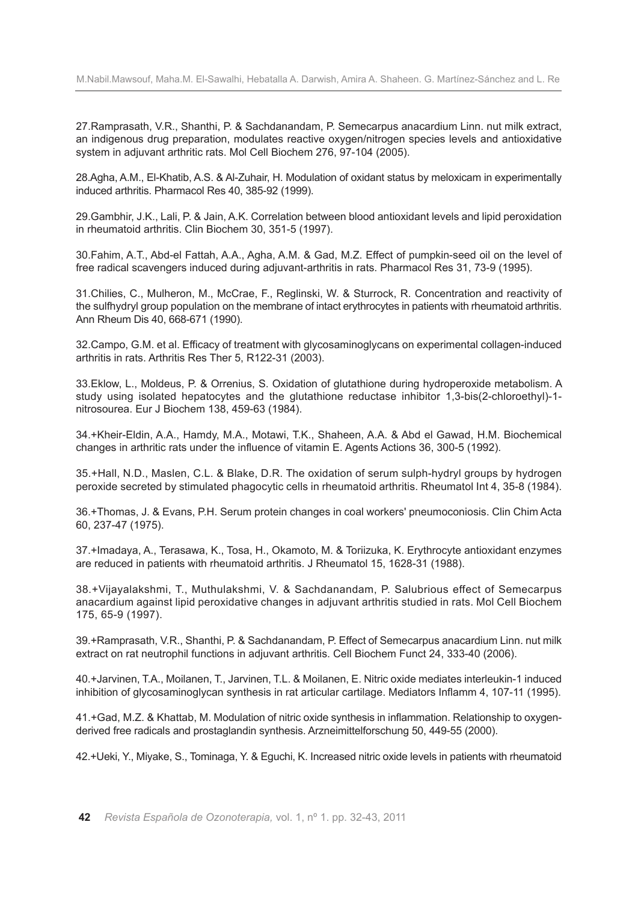27.Ramprasath, V.R., Shanthi, P. & Sachdanandam, P. Semecarpus anacardium Linn. nut milk extract, an indigenous drug preparation, modulates reactive oxygen/nitrogen species levels and antioxidative system in adjuvant arthritic rats. Mol Cell Biochem 276, 97-104 (2005).

28.Agha, A.M., El-Khatib, A.S. & Al-Zuhair, H. Modulation of oxidant status by meloxicam in experimentally induced arthritis. Pharmacol Res 40, 385-92 (1999).

29.Gambhir, J.K., Lali, P. & Jain, A.K. Correlation between blood antioxidant levels and lipid peroxidation in rheumatoid arthritis. Clin Biochem 30, 351-5 (1997).

30.Fahim, A.T., Abd-el Fattah, A.A., Agha, A.M. & Gad, M.Z. Effect of pumpkin-seed oil on the level of free radical scavengers induced during adjuvant-arthritis in rats. Pharmacol Res 31, 73-9 (1995).

31.Chilies, C., Mulheron, M., McCrae, F., Reglinski, W. & Sturrock, R. Concentration and reactivity of the sulfhydryl group population on the membrane of intact erythrocytes in patients with rheumatoid arthritis. Ann Rheum Dis 40, 668-671 (1990).

32.Campo, G.M. et al. Efficacy of treatment with glycosaminoglycans on experimental collagen-induced arthritis in rats. Arthritis Res Ther 5, R122-31 (2003).

33.Eklow, L., Moldeus, P. & Orrenius, S. Oxidation of glutathione during hydroperoxide metabolism. A study using isolated hepatocytes and the glutathione reductase inhibitor 1,3-bis(2-chloroethyl)-1 nitrosourea. Eur J Biochem 138, 459-63 (1984).

34.+Kheir-Eldin, A.A., Hamdy, M.A., Motawi, T.K., Shaheen, A.A. & Abd el Gawad, H.M. Biochemical changes in arthritic rats under the influence of vitamin E. Agents Actions 36, 300-5 (1992).

35.+Hall, N.D., Maslen, C.L. & Blake, D.R. The oxidation of serum sulph-hydryl groups by hydrogen peroxide secreted by stimulated phagocytic cells in rheumatoid arthritis. Rheumatol Int 4, 35-8 (1984).

36.+Thomas, J. & Evans, P.H. Serum protein changes in coal workers' pneumoconiosis. Clin Chim Acta 60, 237-47 (1975).

37.+Imadaya, A., Terasawa, K., Tosa, H., Okamoto, M. & Toriizuka, K. Erythrocyte antioxidant enzymes are reduced in patients with rheumatoid arthritis. J Rheumatol 15, 1628-31 (1988).

38.+Vijayalakshmi, T., Muthulakshmi, V. & Sachdanandam, P. Salubrious effect of Semecarpus anacardium against lipid peroxidative changes in adjuvant arthritis studied in rats. Mol Cell Biochem 175, 65-9 (1997).

39.+Ramprasath, V.R., Shanthi, P. & Sachdanandam, P. Effect of Semecarpus anacardium Linn. nut milk extract on rat neutrophil functions in adjuvant arthritis. Cell Biochem Funct 24, 333-40 (2006).

40.+Jarvinen, T.A., Moilanen, T., Jarvinen, T.L. & Moilanen, E. Nitric oxide mediates interleukin-1 induced inhibition of glycosaminoglycan synthesis in rat articular cartilage. Mediators Inflamm 4, 107-11 (1995).

41.+Gad, M.Z. & Khattab, M. Modulation of nitric oxide synthesis in inflammation. Relationship to oxygenderived free radicals and prostaglandin synthesis. Arzneimittelforschung 50, 449-55 (2000).

42.+Ueki, Y., Miyake, S., Tominaga, Y. & Eguchi, K. Increased nitric oxide levels in patients with rheumatoid